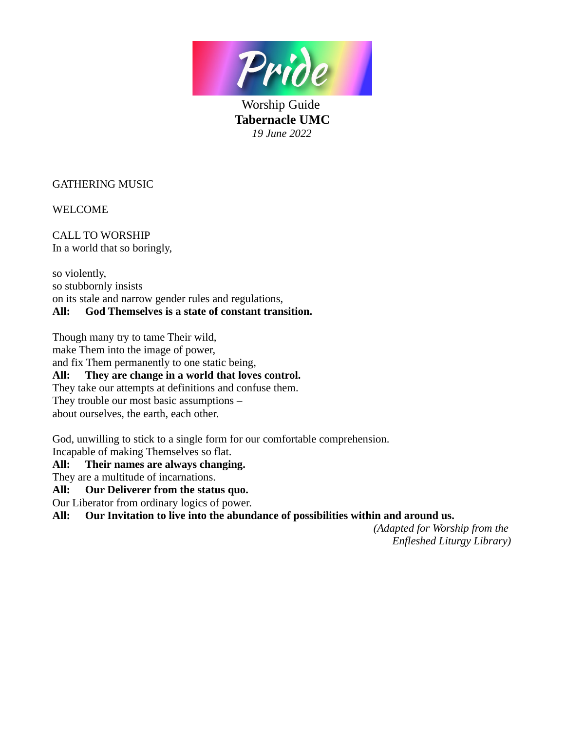

Worship Guide **Tabernacle UMC** *19 June 2022*

GATHERING MUSIC

WELCOME

CALL TO WORSHIP In a world that so boringly,

so violently, so stubbornly insists on its stale and narrow gender rules and regulations, **All: God Themselves is a state of constant transition.**

Though many try to tame Their wild,

make Them into the image of power,

and fix Them permanently to one static being,

**All: They are change in a world that loves control.**

They take our attempts at definitions and confuse them.

They trouble our most basic assumptions –

about ourselves, the earth, each other.

God, unwilling to stick to a single form for our comfortable comprehension. Incapable of making Themselves so flat.

# **All: Their names are always changing.**

They are a multitude of incarnations.

**All: Our Deliverer from the status quo.**

Our Liberator from ordinary logics of power.

**All: Our Invitation to live into the abundance of possibilities within and around us.**

*(Adapted for Worship from the Enfleshed Liturgy Library)*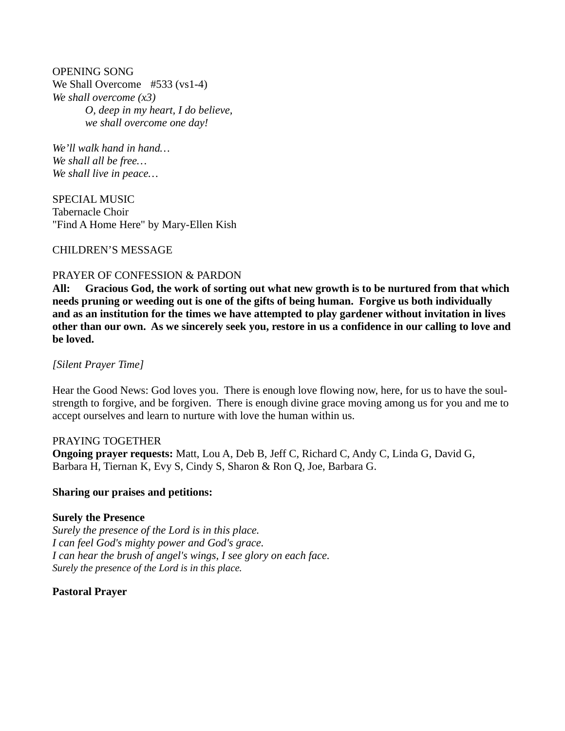OPENING SONG We Shall Overcome #533 (vs1-4) *We shall overcome (x3) O, deep in my heart, I do believe, we shall overcome one day!*

*We'll walk hand in hand… We shall all be free… We shall live in peace…*

SPECIAL MUSIC Tabernacle Choir "Find A Home Here" by Mary-Ellen Kish

### CHILDREN'S MESSAGE

### PRAYER OF CONFESSION & PARDON

**All: Gracious God, the work of sorting out what new growth is to be nurtured from that which needs pruning or weeding out is one of the gifts of being human. Forgive us both individually and as an institution for the times we have attempted to play gardener without invitation in lives other than our own. As we sincerely seek you, restore in us a confidence in our calling to love and be loved.** 

*[Silent Prayer Time]*

Hear the Good News: God loves you. There is enough love flowing now, here, for us to have the soulstrength to forgive, and be forgiven. There is enough divine grace moving among us for you and me to accept ourselves and learn to nurture with love the human within us.

### PRAYING TOGETHER

**Ongoing prayer requests:** Matt, Lou A, Deb B, Jeff C, Richard C, Andy C, Linda G, David G, Barbara H, Tiernan K, Evy S, Cindy S, Sharon & Ron Q, Joe, Barbara G.

### **Sharing our praises and petitions:**

### **Surely the Presence**

*Surely the presence of the Lord is in this place. I can feel God's mighty power and God's grace. I can hear the brush of angel's wings, I see glory on each face. Surely the presence of the Lord is in this place.*

# **Pastoral Prayer**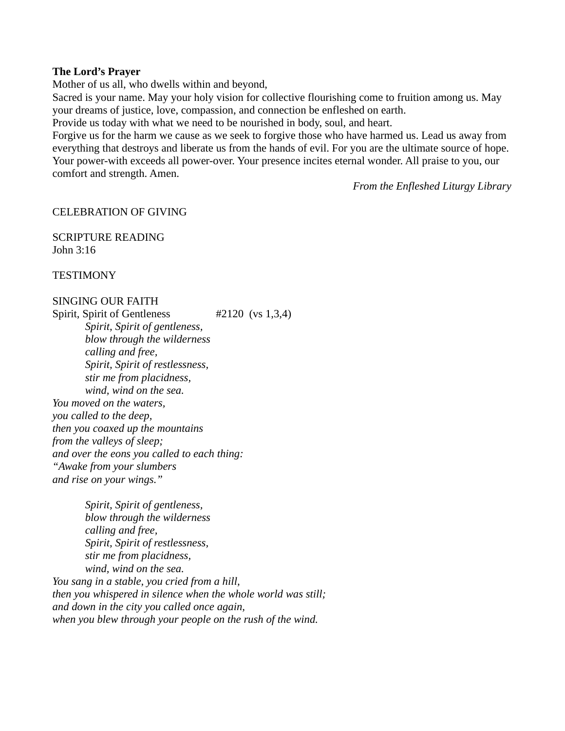#### **The Lord's Prayer**

Mother of us all, who dwells within and beyond,

Sacred is your name. May your holy vision for collective flourishing come to fruition among us. May your dreams of justice, love, compassion, and connection be enfleshed on earth.

Provide us today with what we need to be nourished in body, soul, and heart.

Forgive us for the harm we cause as we seek to forgive those who have harmed us. Lead us away from everything that destroys and liberate us from the hands of evil. For you are the ultimate source of hope. Your power-with exceeds all power-over. Your presence incites eternal wonder. All praise to you, our comfort and strength. Amen.

*From the Enfleshed Liturgy Library*

### CELEBRATION OF GIVING

SCRIPTURE READING John 3:16

**TESTIMONY** 

# SINGING OUR FAITH

Spirit, Spirit of Gentleness #2120 (vs 1,3,4) *Spirit, Spirit of gentleness, blow through the wilderness calling and free, Spirit, Spirit of restlessness, stir me from placidness, wind, wind on the sea. You moved on the waters, you called to the deep, then you coaxed up the mountains from the valleys of sleep; and over the eons you called to each thing: "Awake from your slumbers and rise on your wings."*

*Spirit, Spirit of gentleness, blow through the wilderness calling and free, Spirit, Spirit of restlessness, stir me from placidness, wind, wind on the sea. You sang in a stable, you cried from a hill, then you whispered in silence when the whole world was still; and down in the city you called once again, when you blew through your people on the rush of the wind.*